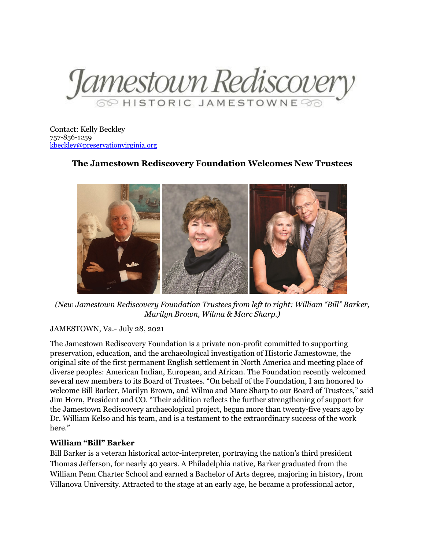

Contact: Kelly Beckley 757-856-1259 [kbeckley@preservationvirginia.org](mailto:kbeckley@preservationvirginia.org)

# **The Jamestown Rediscovery Foundation Welcomes New Trustees**



*(New Jamestown Rediscovery Foundation Trustees from left to right: William "Bill" Barker, Marilyn Brown, Wilma & Marc Sharp.)*

#### JAMESTOWN, Va.- July 28, 2021

The Jamestown Rediscovery Foundation is a private non-profit committed to supporting preservation, education, and the archaeological investigation of Historic Jamestowne, the original site of the first permanent English settlement in North America and meeting place of diverse peoples: American Indian, European, and African. The Foundation recently welcomed several new members to its Board of Trustees. "On behalf of the Foundation, I am honored to welcome Bill Barker, Marilyn Brown, and Wilma and Marc Sharp to our Board of Trustees," said Jim Horn, President and CO. "Their addition reflects the further strengthening of support for the Jamestown Rediscovery archaeological project, begun more than twenty-five years ago by Dr. William Kelso and his team, and is a testament to the extraordinary success of the work here."

# **William "Bill" Barker**

Bill Barker is a veteran historical actor-interpreter, portraying the nation's third president Thomas Jefferson, for nearly 40 years. A Philadelphia native, Barker graduated from the William Penn Charter School and earned a Bachelor of Arts degree, majoring in history, from Villanova University. Attracted to the stage at an early age, he became a professional actor,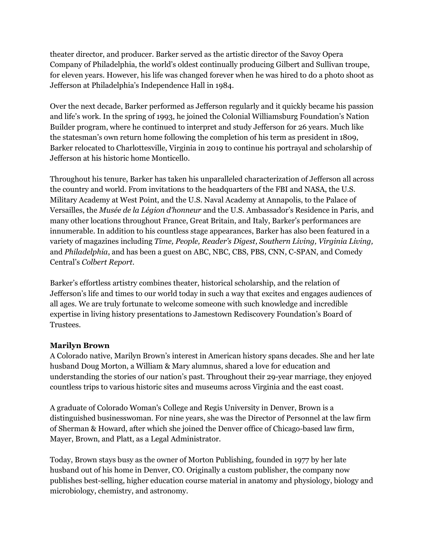theater director, and producer. Barker served as the artistic director of the Savoy Opera Company of Philadelphia, the world's oldest continually producing Gilbert and Sullivan troupe, for eleven years. However, his life was changed forever when he was hired to do a photo shoot as Jefferson at Philadelphia's Independence Hall in 1984.

Over the next decade, Barker performed as Jefferson regularly and it quickly became his passion and life's work. In the spring of 1993, he joined the Colonial Williamsburg Foundation's Nation Builder program, where he continued to interpret and study Jefferson for 26 years. Much like the statesman's own return home following the completion of his term as president in 1809, Barker relocated to Charlottesville, Virginia in 2019 to continue his portrayal and scholarship of Jefferson at his historic home Monticello.

Throughout his tenure, Barker has taken his unparalleled characterization of Jefferson all across the country and world. From invitations to the headquarters of the FBI and NASA, the U.S. Military Academy at West Point, and the U.S. Naval Academy at Annapolis, to the Palace of Versailles, the *Musée de la Légion d'honneur* and the U.S. Ambassador's Residence in Paris, and many other locations throughout France, Great Britain, and Italy, Barker's performances are innumerable. In addition to his countless stage appearances, Barker has also been featured in a variety of magazines including *Time, People, Reader's Digest, Southern Living, Virginia Living,*  and *Philadelphia*, and has been a guest on ABC, NBC, CBS, PBS, CNN, C-SPAN, and Comedy Central's *Colbert Report*.

Barker's effortless artistry combines theater, historical scholarship, and the relation of Jefferson's life and times to our world today in such a way that excites and engages audiences of all ages. We are truly fortunate to welcome someone with such knowledge and incredible expertise in living history presentations to Jamestown Rediscovery Foundation's Board of Trustees.

# **Marilyn Brown**

A Colorado native, Marilyn Brown's interest in American history spans decades. She and her late husband Doug Morton, a William & Mary alumnus, shared a love for education and understanding the stories of our nation's past. Throughout their 29-year marriage, they enjoyed countless trips to various historic sites and museums across Virginia and the east coast.

A graduate of Colorado Woman's College and Regis University in Denver, Brown is a distinguished businesswoman. For nine years, she was the Director of Personnel at the law firm of Sherman & Howard, after which she joined the Denver office of Chicago-based law firm, Mayer, Brown, and Platt, as a Legal Administrator.

Today, Brown stays busy as the owner of Morton Publishing, founded in 1977 by her late husband out of his home in Denver, CO. Originally a custom publisher, the company now publishes best-selling, higher education course material in anatomy and physiology, biology and microbiology, chemistry, and astronomy.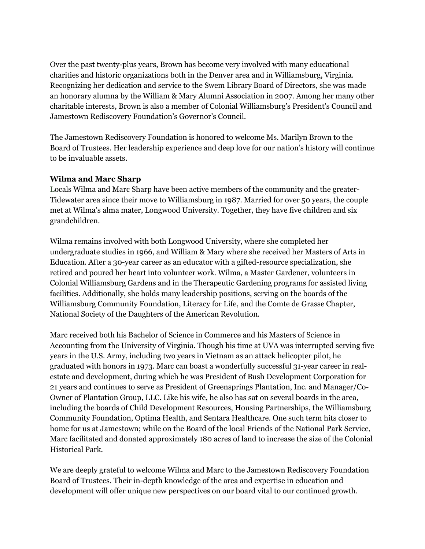Over the past twenty-plus years, Brown has become very involved with many educational charities and historic organizations both in the Denver area and in Williamsburg, Virginia. Recognizing her dedication and service to the Swem Library Board of Directors, she was made an honorary alumna by the William & Mary Alumni Association in 2007. Among her many other charitable interests, Brown is also a member of Colonial Williamsburg's President's Council and Jamestown Rediscovery Foundation's Governor's Council.

The Jamestown Rediscovery Foundation is honored to welcome Ms. Marilyn Brown to the Board of Trustees. Her leadership experience and deep love for our nation's history will continue to be invaluable assets.

# **Wilma and Marc Sharp**

Locals Wilma and Marc Sharp have been active members of the community and the greater-Tidewater area since their move to Williamsburg in 1987. Married for over 50 years, the couple met at Wilma's alma mater, Longwood University. Together, they have five children and six grandchildren.

Wilma remains involved with both Longwood University, where she completed her undergraduate studies in 1966, and William & Mary where she received her Masters of Arts in Education. After a 30-year career as an educator with a gifted-resource specialization, she retired and poured her heart into volunteer work. Wilma, a Master Gardener, volunteers in Colonial Williamsburg Gardens and in the Therapeutic Gardening programs for assisted living facilities. Additionally, she holds many leadership positions, serving on the boards of the Williamsburg Community Foundation, Literacy for Life, and the Comte de Grasse Chapter, National Society of the Daughters of the American Revolution.

Marc received both his Bachelor of Science in Commerce and his Masters of Science in Accounting from the University of Virginia. Though his time at UVA was interrupted serving five years in the U.S. Army, including two years in Vietnam as an attack helicopter pilot, he graduated with honors in 1973. Marc can boast a wonderfully successful 31-year career in realestate and development, during which he was President of Bush Development Corporation for 21 years and continues to serve as President of Greensprings Plantation, Inc. and Manager/Co-Owner of Plantation Group, LLC. Like his wife, he also has sat on several boards in the area, including the boards of Child Development Resources, Housing Partnerships, the Williamsburg Community Foundation, Optima Health, and Sentara Healthcare. One such term hits closer to home for us at Jamestown; while on the Board of the local Friends of the National Park Service, Marc facilitated and donated approximately 180 acres of land to increase the size of the Colonial Historical Park.

We are deeply grateful to welcome Wilma and Marc to the Jamestown Rediscovery Foundation Board of Trustees. Their in-depth knowledge of the area and expertise in education and development will offer unique new perspectives on our board vital to our continued growth.